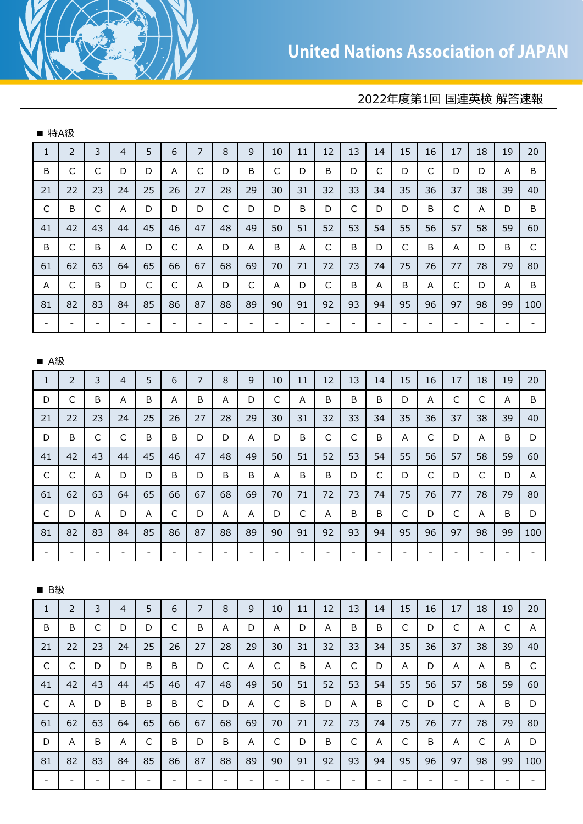## 2022年度第1回 国連英検 解答速報

| ■ 特A級                    |                          |                          |                          |                          |                          |                          |                          |                          |                          |                          |                          |                          |                          |                          |                          |                          |                          |                          |                          |
|--------------------------|--------------------------|--------------------------|--------------------------|--------------------------|--------------------------|--------------------------|--------------------------|--------------------------|--------------------------|--------------------------|--------------------------|--------------------------|--------------------------|--------------------------|--------------------------|--------------------------|--------------------------|--------------------------|--------------------------|
| $\mathbf{1}$             | $\overline{2}$           | 3                        | $\overline{4}$           | 5                        | 6                        | $\overline{7}$           | 8                        | 9                        | 10                       | 11                       | 12                       | 13                       | 14                       | 15                       | 16                       | 17                       | 18                       | 19                       | 20                       |
| B                        | C                        | $\mathsf C$              | D                        | D                        | A                        | $\mathsf{C}$             | D                        | B                        | $\mathsf C$              | D                        | B                        | D                        | $\mathsf C$              | D                        | $\mathsf C$              | D                        | D                        | A                        | B                        |
| 21                       | 22                       | 23                       | 24                       | 25                       | 26                       | 27                       | 28                       | 29                       | 30                       | 31                       | 32                       | 33                       | 34                       | 35                       | 36                       | 37                       | 38                       | 39                       | 40                       |
| $\mathsf C$              | B                        | $\mathsf C$              | Α                        | D                        | D                        | D                        | $\mathsf C$              | D                        | D                        | B                        | D                        | $\mathsf{C}$             | D                        | D                        | B                        | $\mathsf C$              | A                        | D                        | B                        |
| 41                       | 42                       | 43                       | 44                       | 45                       | 46                       | 47                       | 48                       | 49                       | 50                       | 51                       | 52                       | 53                       | 54                       | 55                       | 56                       | 57                       | 58                       | 59                       | 60                       |
| B                        | C                        | B                        | Α                        | D                        | $\mathsf C$              | A                        | D                        | A                        | B                        | A                        | $\mathsf{C}$             | B                        | D                        | $\mathsf{C}$             | B                        | A                        | D                        | B                        | $\mathsf{C}$             |
| 61                       | 62                       | 63                       | 64                       | 65                       | 66                       | 67                       | 68                       | 69                       | 70                       | 71                       | 72                       | 73                       | 74                       | 75                       | 76                       | 77                       | 78                       | 79                       | 80                       |
| A                        | C                        | B                        | D                        | $\mathsf{C}$             | $\mathsf C$              | A                        | D                        | $\mathsf C$              | A                        | D                        | C                        | B                        | A                        | B                        | Α                        | $\mathsf C$              | D                        | A                        | B                        |
| 81                       | 82                       | 83                       | 84                       | 85                       | 86                       | 87                       | 88                       | 89                       | 90                       | 91                       | 92                       | 93                       | 94                       | 95                       | 96                       | 97                       | 98                       | 99                       | 100                      |
| $\blacksquare$           | $\overline{\phantom{a}}$ | $\overline{\phantom{0}}$ | $\frac{1}{2}$            | $\overline{\phantom{a}}$ | $\overline{\phantom{a}}$ | $\overline{\phantom{a}}$ | $\blacksquare$           | $\overline{\phantom{0}}$ | $\overline{\phantom{a}}$ | $\overline{\phantom{a}}$ | $\Box$                   | $\overline{\phantom{a}}$ | $\blacksquare$           | $\Box$                   | $\qquad \qquad -$        | $\overline{\phantom{a}}$ | $\overline{\phantom{a}}$ | $\overline{\phantom{a}}$ | $\overline{\phantom{a}}$ |
|                          |                          |                          |                          |                          |                          |                          |                          |                          |                          |                          |                          |                          |                          |                          |                          |                          |                          |                          |                          |
| <b>■ A級</b>              |                          |                          |                          |                          |                          |                          |                          |                          |                          |                          |                          |                          |                          |                          |                          |                          |                          |                          |                          |
| $\mathbf{1}$             | $\overline{2}$           | 3                        | $\overline{4}$           | 5                        | 6                        | $\overline{7}$           | 8                        | 9                        | 10                       | 11                       | 12                       | 13                       | 14                       | 15                       | 16                       | 17                       | 18                       | 19                       | 20                       |
| D                        | $\mathsf{C}$             | B                        | Α                        | B                        | A                        | B                        | A                        | D                        | $\mathsf C$              | A                        | B                        | B                        | B                        | D                        | Α                        | $\mathsf C$              | $\mathsf{C}$             | A                        | B                        |
| 21                       | 22                       | 23                       | 24                       | 25                       | 26                       | 27                       | 28                       | 29                       | 30                       | 31                       | 32                       | 33                       | 34                       | 35                       | 36                       | 37                       | 38                       | 39                       | 40                       |
| D                        | B                        | $\mathsf C$              | C                        | B                        | B                        | D                        | D                        | Α                        | D                        | B                        | C                        | C                        | B                        | Α                        | $\mathsf{C}$             | D                        | Α                        | B                        | D                        |
| 41                       | 42                       | 43                       | 44                       | 45                       | 46                       | 47                       | 48                       | 49                       | 50                       | 51                       | 52                       | 53                       | 54                       | 55                       | 56                       | 57                       | 58                       | 59                       | 60                       |
| $\mathsf C$              | $\mathsf{C}$             | A                        | D                        | D                        | B                        | D                        | B                        | B                        | A                        | B                        | B                        | D                        | $\mathsf{C}$             | D                        | $\mathsf{C}$             | D                        | $\mathsf{C}$             | D                        | A                        |
| 61                       | 62                       | 63                       | 64                       | 65                       | 66                       | 67                       | 68                       | 69                       | 70                       | 71                       | 72                       | 73                       | 74                       | 75                       | 76                       | 77                       | 78                       | 79                       | 80                       |
| C                        | D                        | Α                        | D                        | A                        | C                        | D                        | Α                        | A                        | D                        | C                        | A                        | B                        | B                        | $\mathsf C$              | D                        | C                        | A                        | B                        | D                        |
| 81                       | 82                       | 83                       | 84                       | 85                       | 86                       | 87                       | 88                       | 89                       | 90                       | 91                       | 92                       | 93                       | 94                       | 95                       | 96                       | 97                       | 98                       | 99                       | 100                      |
| $\overline{\phantom{a}}$ | $\overline{\phantom{a}}$ | $\overline{\phantom{a}}$ | $\blacksquare$           | $\blacksquare$           | $\overline{\phantom{a}}$ | $\overline{\phantom{a}}$ | $\overline{\phantom{a}}$ | $\overline{\phantom{0}}$ | $\overline{\phantom{a}}$ | $\qquad \qquad -$        | $\overline{\phantom{a}}$ | $\overline{\phantom{a}}$ | $\overline{\phantom{a}}$ | $\overline{\phantom{a}}$ | $\qquad \qquad -$        | $\overline{\phantom{a}}$ | $\blacksquare$           | $\overline{\phantom{a}}$ | $\overline{\phantom{a}}$ |
|                          |                          |                          |                          |                          |                          |                          |                          |                          |                          |                          |                          |                          |                          |                          |                          |                          |                          |                          |                          |
| ■ B級                     |                          |                          |                          |                          |                          |                          |                          |                          |                          |                          |                          |                          |                          |                          |                          |                          |                          |                          |                          |
| $\mathbf{1}$             | $\overline{2}$           | 3                        | $\overline{4}$           | 5                        | 6                        | $\overline{7}$           | 8                        | 9                        | 10                       | 11                       | 12                       | 13                       | 14                       | 15                       | 16                       | 17                       | 18                       | 19                       | 20                       |
| B                        | B                        | $\mathsf{C}$             | D                        | D                        | C                        | B                        | A                        | D                        | A                        | D                        | A                        | B                        | B                        | $\mathsf{C}$             | D                        | C                        | A                        | C                        | A                        |
| 21                       | 22                       | 23                       | 24                       | 25                       | 26                       | 27                       | 28                       | 29                       | 30                       | 31                       | 32                       | 33                       | 34                       | 35                       | 36                       | 37                       | 38                       | 39                       | 40                       |
| $\mathsf{C}$             | C                        | D                        | D                        | B                        | B                        | D                        | C                        | A                        | $\mathsf{C}$             | B                        | A                        | C                        | D                        | Α                        | D                        | A                        | Α                        | B                        | C                        |
| 41                       | 42                       | 43                       | 44                       | 45                       | 46                       | 47                       | 48                       | 49                       | 50                       | 51                       | 52                       | 53                       | 54                       | 55                       | 56                       | 57                       | 58                       | 59                       | 60                       |
| $\mathsf{C}$             | A                        | D                        | B                        | B                        | B                        | $\mathsf{C}$             | D                        | A                        | $\mathsf C$              | B                        | D                        | A                        | B                        | $\mathsf C$              | D                        | $\mathsf C$              | A                        | B                        | D                        |
| 61                       | 62                       | 63                       | 64                       | 65                       | 66                       | 67                       | 68                       | 69                       | 70                       | 71                       | 72                       | 73                       | 74                       | 75                       | 76                       | 77                       | 78                       | 79                       | 80                       |
| D                        | Α                        | B                        | Α                        | C                        | B                        | D                        | B                        | Α                        | C                        | D                        | B                        | C                        | A                        | $\mathsf{C}$             | B                        | A                        | C                        | A                        | D                        |
| 81                       | 82                       | 83                       | 84                       | 85                       | 86                       | 87                       | 88                       | 89                       | 90                       | 91                       | 92                       | 93                       | 94                       | 95                       | 96                       | 97                       | 98                       | 99                       | 100                      |
| $\overline{\phantom{a}}$ | $\overline{\phantom{a}}$ | $\overline{\phantom{a}}$ | $\overline{\phantom{0}}$ | $\overline{\phantom{a}}$ | $\overline{\phantom{a}}$ | $\overline{\phantom{a}}$ | $\overline{\phantom{a}}$ | -                        | $\overline{\phantom{a}}$ | $\overline{\phantom{a}}$ | $\overline{\phantom{a}}$ | $\overline{\phantom{a}}$ | $\overline{\phantom{a}}$ | $\overline{\phantom{a}}$ | $\overline{\phantom{a}}$ | $\overline{\phantom{a}}$ | $\overline{\phantom{a}}$ | $\overline{\phantom{a}}$ | $\overline{\phantom{a}}$ |